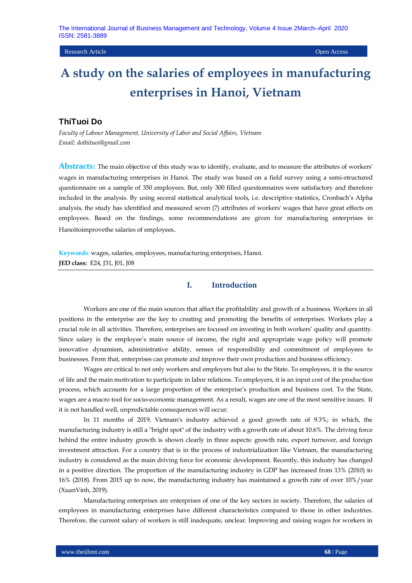#### Research Article Open Access

# **A study on the salaries of employees in manufacturing enterprises in Hanoi, Vietnam**

## **ThiTuoi Do**

*Faculty of Labour Management, University of Labor and Social Affairs, Vietnam Email: dothituoi@gmail.com*

**Abstracts:** The main objective of this study was to identify, evaluate, and to measure the attributes of workers' wages in manufacturing enterprises in Hanoi. The study was based on a field survey using a semi-structured questionnaire on a sample of 350 employees. But, only 300 filled questionnaires were satisfactory and therefore included in the analysis. By using seceral statistical analytical tools, i.e. descriptive statistics, Cronbach's Alpha analysis, the study has identified and measured seven (7) attributes of workers' wages that have great effects on employees. Based on the findings, some recommendations are given for manufacturing enterprises in Hanoitoimprovethe salaries of employees.

**Keywords**: wages, salaries, employees, manufacturing enterprises, Hanoi. **JED class:** E24, J31, J01, J08

## **I. Introduction**

Workers are one of the main sources that affect the profitability and growth of a business. Workers in all positions in the enterprise are the key to creating and promoting the benefits of enterprises. Workers play a crucial role in all activities. Therefore, enterprises are focused on investing in both workers' quality and quantity. Since salary is the employee's main source of income, the right and appropriate wage policy will promote innovative dynamism, administrative ability, senses of responsibility and commitment of employees to businesses. From that, enterprises can promote and improve their own production and business efficiency.

Wages are critical to not only workers and employers but also to the State. To employees, it is the source of life and the main motivation to participate in labor relations. To employers, it is an input cost of the production process, which accounts for a large proportion of the enterprise's production and business cost. To the State, wages are a macro tool for socio-economic management. As a result, wages are one of the most sensitive issues. If it is not handled well, unpredictable consequences will occur.

In 11 months of 2019, Vietnam's industry achieved a good growth rate of 9.3%; in which, the manufacturing industry is still a "bright spot" of the industry with a growth rate of about 10.6%. The driving force behind the entire industry growth is shown clearly in three aspects: growth rate, export turnover, and foreign investment attraction. For a country that is in the process of industrialization like Vietnam, the manufacturing industry is considered as the main driving force for economic development. Recently, this industry has changed in a positive direction. The proportion of the manufacturing industry in GDP has increased from 13% (2010) to 16% (2018). From 2015 up to now, the manufacturing industry has maintained a growth rate of over 10%/year (XuanVinh, 2019).

Manufacturing enterprises are enterprises of one of the key sectors in society. Therefore, the salaries of employees in manufacturing enterprises have different characteristics compared to those in other industries. Therefore, the current salary of workers is still inadequate, unclear. Improving and raising wages for workers in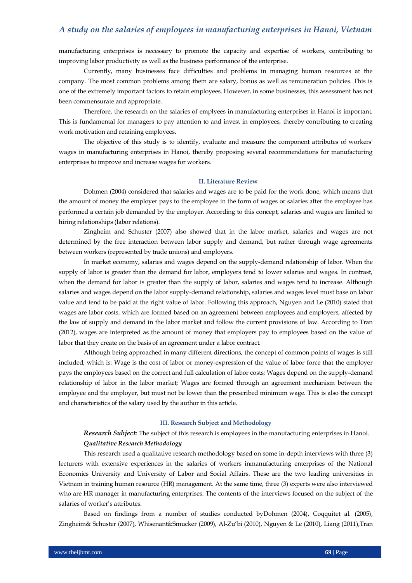manufacturing enterprises is necessary to promote the capacity and expertise of workers, contributing to improving labor productivity as well as the business performance of the enterprise.

Currently, many businesses face difficulties and problems in managing human resources at the company. The most common problems among them are salary, bonus as well as remuneration policies. This is one of the extremely important factors to retain employees. However, in some businesses, this assessment has not been commensurate and appropriate.

Therefore, the research on the salaries of emplyees in manufacturing enterprises in Hanoi is important. This is fundamental for managers to pay attention to and invest in employees, thereby contributing to creating work motivation and retaining employees.

The objective of this study is to identify, evaluate and measure the component attributes of workers' wages in manufacturing enterprises in Hanoi, thereby proposing several recommendations for manufacturing enterprises to improve and increase wages for workers.

#### **II. Literature Review**

Dohmen (2004) considered that salaries and wages are to be paid for the work done, which means that the amount of money the employer pays to the employee in the form of wages or salaries after the employee has performed a certain job demanded by the employer. According to this concept, salaries and wages are limited to hiring relationships (labor relations).

Zingheim and Schuster (2007) also showed that in the labor market, salaries and wages are not determined by the free interaction between labor supply and demand, but rather through wage agreements between workers (represented by trade unions) and employers.

In market economy, salaries and wages depend on the supply-demand relationship of labor. When the supply of labor is greater than the demand for labor, employers tend to lower salaries and wages. In contrast, when the demand for labor is greater than the supply of labor, salaries and wages tend to increase. Although salaries and wages depend on the labor supply-demand relationship, salaries and wages level must base on labor value and tend to be paid at the right value of labor. Following this approach, Nguyen and Le (2010) stated that wages are labor costs, which are formed based on an agreement between employees and employers, affected by the law of supply and demand in the labor market and follow the current provisions of law. According to Tran (2012), wages are interpreted as the amount of money that employers pay to employees based on the value of labor that they create on the basis of an agreement under a labor contract.

Although being approached in many different directions, the concept of common points of wages is still included, which is: Wage is the cost of labor or money-expression of the value of labor force that the employer pays the employees based on the correct and full calculation of labor costs; Wages depend on the supply-demand relationship of labor in the labor market; Wages are formed through an agreement mechanism between the employee and the employer, but must not be lower than the prescribed minimum wage. This is also the concept and characteristics of the salary used by the author in this article.

#### **III. Research Subject and Methodology**

## *Research Subject:* The subject of this research is employees in the manufacturing enterprises in Hanoi. *Qualitative Research Methodology*

This research used a qualitative research methodology based on some in-depth interviews with three (3) lecturers with extensive experiences in the salaries of workers inmanufacturing enterprises of the National Economics University and University of Labor and Social Affairs. These are the two leading universities in Vietnam in training human resource (HR) management. At the same time, three (3) experts were also interviewed who are HR manager in manufacturing enterprises. The contents of the interviews focused on the subject of the salaries of worker's attributes.

Based on findings from a number of studies conducted byDohmen (2004), Coqquitet al. (2005), Zingheim& Schuster (2007), Whisenant&Smucker (2009), Al-Zu'bi (2010), Nguyen & Le (2010), Liang (2011),Tran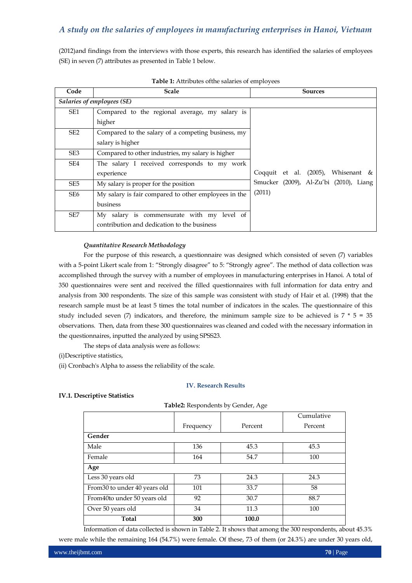(2012)and findings from the interviews with those experts, this research has identified the salaries of employees (SE) in seven (7) attributes as presented in Table 1 below.

| Code            | <b>Scale</b>                                         | <b>Sources</b>                         |
|-----------------|------------------------------------------------------|----------------------------------------|
|                 | Salaries of employees (SE)                           |                                        |
| SE1             | Compared to the regional average, my salary is       |                                        |
|                 | higher                                               |                                        |
| SE <sub>2</sub> | Compared to the salary of a competing business, my   |                                        |
|                 | salary is higher                                     |                                        |
| SE3             | Compared to other industries, my salary is higher    |                                        |
| SE4             | The salary I received corresponds to my work         |                                        |
|                 | experience                                           | Coqquit et al. $(2005)$ , Whisenant &  |
| SE <sub>5</sub> | My salary is proper for the position                 | Smucker (2009), Al-Zu'bi (2010), Liang |
| SE6             | My salary is fair compared to other employees in the | (2011)                                 |
|                 | business                                             |                                        |
| SE <sub>7</sub> | My salary is commensurate with my level of           |                                        |
|                 | contribution and dedication to the business          |                                        |

**Table 1:** Attributes ofthe salaries of employees

#### *Quantitative Research Methodology*

For the purpose of this research, a questionnaire was designed which consisted of seven (7) variables with a 5-point Likert scale from 1: "Strongly disagree" to 5: "Strongly agree". The method of data collection was accomplished through the survey with a number of employees in manufacturing enterprises in Hanoi. A total of 350 questionnaires were sent and received the filled questionnaires with full information for data entry and analysis from 300 respondents. The size of this sample was consistent with study of Hair et al. (1998) that the research sample must be at least 5 times the total number of indicators in the scales. The questionnaire of this study included seven (7) indicators, and therefore, the minimum sample size to be achieved is  $7 * 5 = 35$ observations. Then, data from these 300 questionnaires was cleaned and coded with the necessary information in the questionnaires, inputted the analyzed by using SPSS23.

The steps of data analysis were as follows:

(i)Descriptive statistics,

(ii) Cronbach's Alpha to assess the reliability of the scale.

#### **IV. Research Results**

#### **IV.1. Descriptive Statistics**

|  |  | Table2: Respondents by Gender, Age |  |  |  |  |
|--|--|------------------------------------|--|--|--|--|
|--|--|------------------------------------|--|--|--|--|

| $\frac{1}{2}$                 |           |         |            |  |  |
|-------------------------------|-----------|---------|------------|--|--|
|                               |           |         | Cumulative |  |  |
|                               | Frequency | Percent | Percent    |  |  |
| Gender                        |           |         |            |  |  |
| Male                          | 136       | 45.3    | 45.3       |  |  |
| Female                        | 164       | 54.7    | 100        |  |  |
| Age                           |           |         |            |  |  |
| Less 30 years old             | 73        | 24.3    | 24.3       |  |  |
| From 30 to under 40 years old | 101       | 33.7    | 58         |  |  |
| From 40to under 50 years old  | 92        | 30.7    | 88.7       |  |  |
| Over 50 years old             | 34        | 11.3    | 100        |  |  |
| <b>Total</b>                  | 300       | 100.0   |            |  |  |

Information of data collected is shown in Table 2. It shows that among the 300 respondents, about 45.3% were male while the remaining 164 (54.7%) were female. Of these, 73 of them (or 24.3%) are under 30 years old,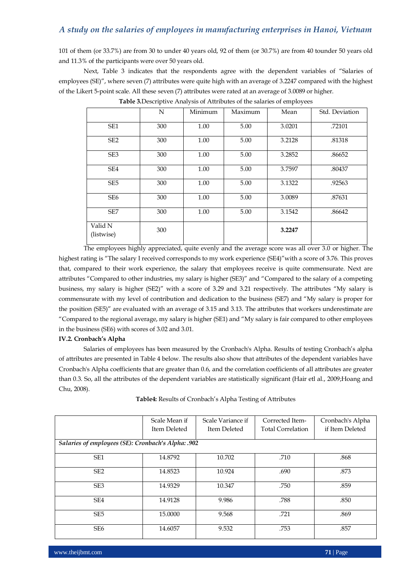101 of them (or 33.7%) are from 30 to under 40 years old, 92 of them (or 30.7%) are from 40 tounder 50 years old and 11.3% of the participants were over 50 years old.

Next, Table 3 indicates that the respondents agree with the dependent variables of "Salaries of employees (SE)", where seven (7) attributes were quite high with an average of 3.2247 compared with the highest of the Likert 5-point scale. All these seven (7) attributes were rated at an average of 3.0089 or higher.

|                       | N   | Minimum | Maximum | Mean   | Std. Deviation |
|-----------------------|-----|---------|---------|--------|----------------|
| SE1                   | 300 | 1.00    | 5.00    | 3.0201 | .72101         |
| SE <sub>2</sub>       | 300 | 1.00    | 5.00    | 3.2128 | .81318         |
| SE <sub>3</sub>       | 300 | 1.00    | 5.00    | 3.2852 | .86652         |
| SE4                   | 300 | 1.00    | 5.00    | 3.7597 | .80437         |
| SE <sub>5</sub>       | 300 | 1.00    | 5.00    | 3.1322 | .92563         |
| SE <sub>6</sub>       | 300 | 1.00    | 5.00    | 3.0089 | .87631         |
| SE <sub>7</sub>       | 300 | 1.00    | 5.00    | 3.1542 | .86642         |
| Valid N<br>(listwise) | 300 |         |         | 3.2247 |                |

**Table 3.**Descriptive Analysis of Attributes of the salaries of employees

The employees highly appreciated, quite evenly and the average score was all over 3.0 or higher. The highest rating is "The salary I received corresponds to my work experience (SE4)"with a score of 3.76. This proves that, compared to their work experience, the salary that employees receive is quite commensurate. Next are attributes "Compared to other industries, my salary is higher (SE3)" and "Compared to the salary of a competing business, my salary is higher (SE2)" with a score of 3.29 and 3.21 respectively. The attributes "My salary is commensurate with my level of contribution and dedication to the business (SE7) and "My salary is proper for the position (SE5)" are evaluated with an average of 3.15 and 3.13. The attributes that workers underestimate are "Compared to the regional average, my salary is higher (SE1) and "My salary is fair compared to other employees in the business (SE6) with scores of 3.02 and 3.01.

#### **IV.2. Cronbach's Alpha**

Salaries of employees has been measured by the Cronbach's Alpha. Results of testing Cronbach's alpha of attributes are presented in Table 4 below. The results also show that attributes of the dependent variables have Cronbach's Alpha coefficients that are greater than 0.6, and the correlation coefficients of all attributes are greater than 0.3. So, all the attributes of the dependent variables are statistically significant (Hair etl al., 2009;Hoang and Chu, 2008).

| Table4: Results of Cronbach's Alpha Testing of Attributes |  |
|-----------------------------------------------------------|--|
|-----------------------------------------------------------|--|

|                                                    | Scale Mean if<br>Item Deleted | Scale Variance if<br>Item Deleted | Corrected Item-<br><b>Total Correlation</b> | Cronbach's Alpha<br>if Item Deleted |  |  |
|----------------------------------------------------|-------------------------------|-----------------------------------|---------------------------------------------|-------------------------------------|--|--|
| Salaries of employees (SE): Cronbach's Alpha: .902 |                               |                                   |                                             |                                     |  |  |
| SE <sub>1</sub>                                    | 14.8792                       | 10.702                            | .710                                        | .868                                |  |  |
| SE <sub>2</sub>                                    | 14.8523                       | 10.924                            | .690                                        | .873                                |  |  |
| SE <sub>3</sub>                                    | 14.9329                       | 10.347                            | .750                                        | .859                                |  |  |
| SE <sub>4</sub>                                    | 14.9128                       | 9.986                             | .788                                        | .850                                |  |  |
| SE <sub>5</sub>                                    | 15.0000                       | 9.568                             | .721                                        | .869                                |  |  |
| SE <sub>6</sub>                                    | 14.6057                       | 9.532                             | .753                                        | .857                                |  |  |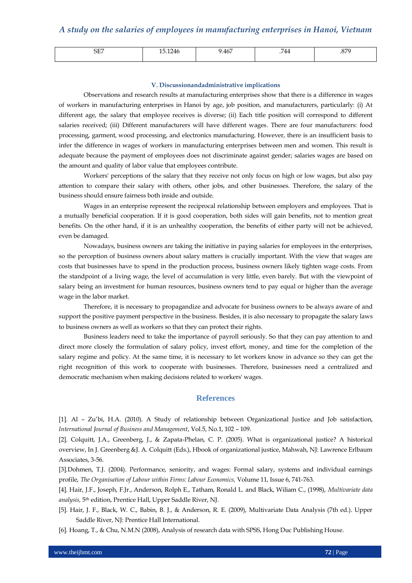| $\cap$<br>۰н<br>ىتەت | .121<br>10.1270 | 9.467 | .744 | 070<br>$\cdots$ |
|----------------------|-----------------|-------|------|-----------------|
|                      |                 |       |      |                 |

#### **V. Discussionandadministrative implications**

Observations and research results at manufacturing enterprises show that there is a difference in wages of workers in manufacturing enterprises in Hanoi by age, job position, and manufacturers, particularly: (i) At different age, the salary that employee receives is diverse; (ii) Each title position will correspond to different salaries received; (iii) Different manufacturers will have different wages. There are four manufacturers: food processing, garment, wood processing, and electronics manufacturing. However, there is an insufficient basis to infer the difference in wages of workers in manufacturing enterprises between men and women. This result is adequate because the payment of employees does not discriminate against gender; salaries wages are based on the amount and quality of labor value that employees contribute.

Workers' perceptions of the salary that they receive not only focus on high or low wages, but also pay attention to compare their salary with others, other jobs, and other businesses. Therefore, the salary of the business should ensure fairness both inside and outside.

Wages in an enterprise represent the reciprocal relationship between employers and employees. That is a mutually beneficial cooperation. If it is good cooperation, both sides will gain benefits, not to mention great benefits. On the other hand, if it is an unhealthy cooperation, the benefits of either party will not be achieved, even be damaged.

Nowadays, business owners are taking the initiative in paying salaries for employees in the enterprises, so the perception of business owners about salary matters is crucially important. With the view that wages are costs that businesses have to spend in the production process, business owners likely tighten wage costs. From the standpoint of a living wage, the level of accumulation is very little, even barely. But with the viewpoint of salary being an investment for human resources, business owners tend to pay equal or higher than the average wage in the labor market.

Therefore, it is necessary to propagandize and advocate for business owners to be always aware of and support the positive payment perspective in the business. Besides, it is also necessary to propagate the salary laws to business owners as well as workers so that they can protect their rights.

Business leaders need to take the importance of payroll seriously. So that they can pay attention to and direct more closely the formulation of salary policy, invest effort, money, and time for the completion of the salary regime and policy. At the same time, it is necessary to let workers know in advance so they can get the right recognition of this work to cooperate with businesses. Therefore, businesses need a centralized and democratic mechanism when making decisions related to workers' wages.

#### **References**

[1]. Al – Zu'bi, H.A. (2010). A Study of relationship between Organizational Justice and Job satisfaction, *International Journal of Business and Management*, Vol.5, No.1, 102 – 109.

[2]. Colquitt, J.A., Greenberg, J., & Zapata-Phelan, C. P. (2005). What is organizational justice? A historical overview, In J. Greenberg &J. A. Colquitt (Eds.), Hbook of organizational justice, Mahwah, NJ: Lawrence Erlbaum Associates, 3-56.

[3].Dohmen, T.J. (2004). Performance, seniority, and wages: Formal salary, systems and individual earnings profile, *The Organisation of Labour within Firms: Labour Economics,* Volume 11, Issue 6, 741-763.

[4]. Hair, J.F., Joseph, F.Jr., Anderson, Rolph E., Tatham, Ronald L. and Black, Wiliam C., (1998), *Multivariate data analysis,* 5th edition, Prentice Hall, Upper Saddle River, NJ.

[5]. Hair, J. F., Black, W. C., Babin, B. J., & Anderson, R. E. (2009), Multivariate Data Analysis (7th ed.). Upper Saddle River, NJ: Prentice Hall International.

[6]. Hoang, T., & Chu, N.M.N (2008), Analysis of research data with SPSS, Hong Duc Publishing House.